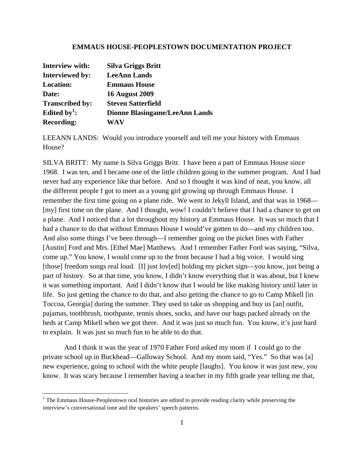## **EMMAUS HOUSE-PEOPLESTOWN DOCUMENTATION PROJECT**

| Interview with:          | Silva Griggs Britt                    |
|--------------------------|---------------------------------------|
| <b>Interviewed by:</b>   | <b>LeeAnn Lands</b>                   |
| <b>Location:</b>         | <b>Emmaus House</b>                   |
| Date:                    | <b>16 August 2009</b>                 |
| <b>Transcribed by:</b>   | <b>Steven Satterfield</b>             |
| Edited by <sup>1</sup> : | <b>Dionne Blasingame/LeeAnn Lands</b> |
| <b>Recording:</b>        | WAV                                   |

LEEANN LANDS: Would you introduce yourself and tell me your history with Emmaus House?

SILVA BRITT: My name is Silva Griggs Britt. I have been a part of Emmaus House since 1968. I was ten, and I became one of the little children going to the summer program. And I had never had any experience like that before. And so I thought it was kind of neat, you know, all the different people I got to meet as a young girl growing up through Emmaus House. I remember the first time going on a plane ride. We went to Jekyll Island, and that was in 1968— [my] first time on the plane. And I thought, wow! I couldn't believe that I had a chance to get on a plane. And I noticed that a lot throughout my history at Emmaus House. It was so much that I had a chance to do that without Emmaus House I would've gotten to do—and my children too. And also some things I've been through—I remember going on the picket lines with Father [Austin] Ford and Mrs. [Ethel Mae] Matthews. And I remember Father Ford was saying, "Silva, come up." You know, I would come up to the front because I had a big voice. I would sing [those] freedom songs real loud. [I] just lov[ed] holding my picket sign—you know, just being a part of history. So at that time, you know, I didn't know everything that it was about, but I knew it was something important. And I didn't know that I would be like making history until later in life. So just getting the chance to do that, and also getting the chance to go to Camp Mikell [in Toccoa, Georgia] during the summer. They used to take us shopping and buy us [an] outfit, pajamas, toothbrush, toothpaste, tennis shoes, socks, and have our bags packed already on the beds at Camp Mikell when we got there. And it was just so much fun. You know, it's just hard to explain. It was just so much fun to be able to do that.

 And I think it was the year of 1970 Father Ford asked my mom if I could go to the private school up in Buckhead—Galloway School. And my mom said, "Yes." So that was [a] new experience, going to school with the white people [laughs]. You know it was just new, you know. It was scary because I remember having a teacher in my fifth grade year telling me that,

<u> 1989 - Johann Stein, fransk politik (d. 1989)</u>

<sup>&</sup>lt;sup>1</sup> The Emmaus House-Peoplestown oral histories are edited to provide reading clarity while preserving the interview's conversational tone and the speakers' speech patterns.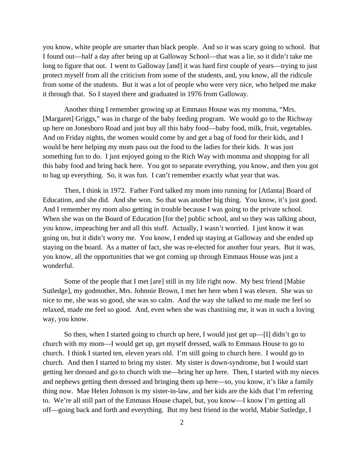you know, white people are smarter than black people. And so it was scary going to school. But I found out—half a day after being up at Galloway School—that was a lie, so it didn't take me long to figure that out. I went to Galloway [and] it was hard first couple of years—trying to just protect myself from all the criticism from some of the students, and, you know, all the ridicule from some of the students. But it was a lot of people who were very nice, who helped me make it through that. So I stayed there and graduated in 1976 from Galloway.

 Another thing I remember growing up at Emmaus House was my momma, "Mrs. [Margaret] Griggs," was in charge of the baby feeding program. We would go to the Richway up here on Jonesboro Road and just buy all this baby food—baby food, milk, fruit, vegetables. And on Friday nights, the women would come by and get a bag of food for their kids, and I would be here helping my mom pass out the food to the ladies for their kids. It was just something fun to do. I just enjoyed going to the Rich Way with momma and shopping for all this baby food and bring back here. You got to separate everything, you know, and then you got to bag up everything. So, it was fun. I can't remember exactly what year that was.

 Then, I think in 1972. Father Ford talked my mom into running for [Atlanta] Board of Education, and she did. And she won. So that was another big thing. You know, it's just good. And I remember my mom also getting in trouble because I was going to the private school. When she was on the Board of Education [for the] public school, and so they was talking about, you know, impeaching her and all this stuff. Actually, I wasn't worried. I just know it was going on, but it didn't worry me. You know, I ended up staying at Galloway and she ended up staying on the board. As a matter of fact, she was re-elected for another four years. But it was, you know, all the opportunities that we got coming up through Emmaus House was just a wonderful.

 Some of the people that I met [are] still in my life right now. My best friend [Mabie Sutledge], my godmother, Mrs. Johnnie Brown, I met her here when I was eleven. She was so nice to me, she was so good, she was so calm. And the way she talked to me made me feel so relaxed, made me feel so good. And, even when she was chastising me, it was in such a loving way, you know.

 So then, when I started going to church up here, I would just get up—[I] didn't go to church with my mom—I would get up, get myself dressed, walk to Emmaus House to go to church. I think I started ten, eleven years old. I'm still going to church here. I would go to church. And then I started to bring my sister. My sister is down-syndrome, but I would start getting her dressed and go to church with me—bring her up here. Then, I started with my nieces and nephews getting them dressed and bringing them up here—so, you know, it's like a family thing now. Mae Helen Johnson is my sister-in-law, and her kids are the kids that I'm referring to. We're all still part of the Emmaus House chapel, but, you know—I know I'm getting all off—going back and forth and everything. But my best friend in the world, Mabie Sutledge, I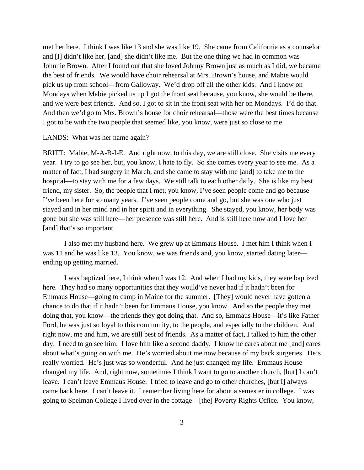met her here. I think I was like 13 and she was like 19. She came from California as a counselor and [I] didn't like her, [and] she didn't like me. But the one thing we had in common was Johnnie Brown. After I found out that she loved Johnny Brown just as much as I did, we became the best of friends. We would have choir rehearsal at Mrs. Brown's house, and Mabie would pick us up from school—from Galloway. We'd drop off all the other kids. And I know on Mondays when Mabie picked us up I got the front seat because, you know, she would be there, and we were best friends. And so, I got to sit in the front seat with her on Mondays. I'd do that. And then we'd go to Mrs. Brown's house for choir rehearsal—those were the best times because I got to be with the two people that seemed like, you know, were just so close to me.

#### LANDS: What was her name again?

BRITT: Mabie, M-A-B-I-E. And right now, to this day, we are still close. She visits me every year. I try to go see her, but, you know, I hate to fly. So she comes every year to see me. As a matter of fact, I had surgery in March, and she came to stay with me [and] to take me to the hospital—to stay with me for a few days. We still talk to each other daily. She is like my best friend, my sister. So, the people that I met, you know, I've seen people come and go because I've been here for so many years. I've seen people come and go, but she was one who just stayed and in her mind and in her spirit and in everything. She stayed, you know, her body was gone but she was still here—her presence was still here. And is still here now and I love her [and] that's so important.

 I also met my husband here. We grew up at Emmaus House. I met him I think when I was 11 and he was like 13. You know, we was friends and, you know, started dating later ending up getting married.

 I was baptized here, I think when I was 12. And when I had my kids, they were baptized here. They had so many opportunities that they would've never had if it hadn't been for Emmaus House—going to camp in Maine for the summer. [They] would never have gotten a chance to do that if it hadn't been for Emmaus House, you know. And so the people they met doing that, you know—the friends they got doing that. And so, Emmaus House—it's like Father Ford, he was just so loyal to this community, to the people, and especially to the children. And right now, me and him, we are still best of friends. As a matter of fact, I talked to him the other day. I need to go see him. I love him like a second daddy. I know he cares about me [and] cares about what's going on with me. He's worried about me now because of my back surgeries. He's really worried. He's just was so wonderful. And he just changed my life. Emmaus House changed my life. And, right now, sometimes I think I want to go to another church, [but] I can't leave. I can't leave Emmaus House. I tried to leave and go to other churches, [but I] always came back here. I can't leave it. I remember living here for about a semester in college. I was going to Spelman College I lived over in the cottage—[the] Poverty Rights Office. You know,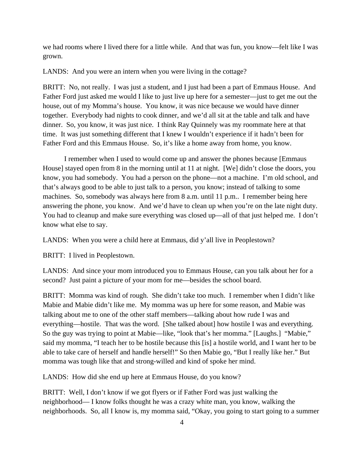we had rooms where I lived there for a little while. And that was fun, you know—felt like I was grown.

LANDS: And you were an intern when you were living in the cottage?

BRITT: No, not really. I was just a student, and I just had been a part of Emmaus House. And Father Ford just asked me would I like to just live up here for a semester—just to get me out the house, out of my Momma's house. You know, it was nice because we would have dinner together. Everybody had nights to cook dinner, and we'd all sit at the table and talk and have dinner. So, you know, it was just nice. I think Ray Quinnely was my roommate here at that time. It was just something different that I knew I wouldn't experience if it hadn't been for Father Ford and this Emmaus House. So, it's like a home away from home, you know.

 I remember when I used to would come up and answer the phones because [Emmaus House] stayed open from 8 in the morning until at 11 at night. [We] didn't close the doors, you know, you had somebody. You had a person on the phone—not a machine. I'm old school, and that's always good to be able to just talk to a person, you know; instead of talking to some machines. So, somebody was always here from 8 a.m. until 11 p.m.. I remember being here answering the phone, you know. And we'd have to clean up when you're on the late night duty. You had to cleanup and make sure everything was closed up—all of that just helped me. I don't know what else to say.

LANDS: When you were a child here at Emmaus, did y'all live in Peoplestown?

BRITT: I lived in Peoplestown.

LANDS: And since your mom introduced you to Emmaus House, can you talk about her for a second? Just paint a picture of your mom for me—besides the school board.

BRITT: Momma was kind of rough. She didn't take too much. I remember when I didn't like Mabie and Mabie didn't like me. My momma was up here for some reason, and Mabie was talking about me to one of the other staff members—talking about how rude I was and everything—hostile. That was the word. [She talked about] how hostile I was and everything. So the guy was trying to point at Mabie—like, "look that's her momma." [Laughs.] "Mabie," said my momma, "I teach her to be hostile because this [is] a hostile world, and I want her to be able to take care of herself and handle herself!" So then Mabie go, "But I really like her." But momma was tough like that and strong-willed and kind of spoke her mind.

LANDS: How did she end up here at Emmaus House, do you know?

BRITT: Well, I don't know if we got flyers or if Father Ford was just walking the neighborhood— I know folks thought he was a crazy white man, you know, walking the neighborhoods. So, all I know is, my momma said, "Okay, you going to start going to a summer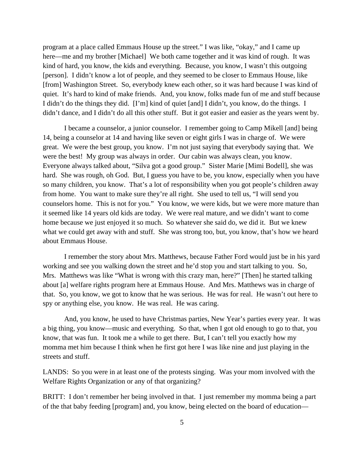program at a place called Emmaus House up the street." I was like, "okay," and I came up here—me and my brother [Michael] We both came together and it was kind of rough. It was kind of hard, you know, the kids and everything. Because, you know, I wasn't this outgoing [person]. I didn't know a lot of people, and they seemed to be closer to Emmaus House, like [from] Washington Street. So, everybody knew each other, so it was hard because I was kind of quiet. It's hard to kind of make friends. And, you know, folks made fun of me and stuff because I didn't do the things they did. [I'm] kind of quiet [and] I didn't, you know, do the things. I didn't dance, and I didn't do all this other stuff. But it got easier and easier as the years went by.

 I became a counselor, a junior counselor. I remember going to Camp Mikell [and] being 14, being a counselor at 14 and having like seven or eight girls I was in charge of. We were great. We were the best group, you know. I'm not just saying that everybody saying that. We were the best! My group was always in order. Our cabin was always clean, you know. Everyone always talked about, "Silva got a good group." Sister Marie [Mimi Bodell], she was hard. She was rough, oh God. But, I guess you have to be, you know, especially when you have so many children, you know. That's a lot of responsibility when you got people's children away from home. You want to make sure they're all right. She used to tell us, "I will send you counselors home. This is not for you." You know, we were kids, but we were more mature than it seemed like 14 years old kids are today. We were real mature, and we didn't want to come home because we just enjoyed it so much. So whatever she said do, we did it. But we knew what we could get away with and stuff. She was strong too, but, you know, that's how we heard about Emmaus House.

 I remember the story about Mrs. Matthews, because Father Ford would just be in his yard working and see you walking down the street and he'd stop you and start talking to you. So, Mrs. Matthews was like "What is wrong with this crazy man, here?" [Then] he started talking about [a] welfare rights program here at Emmaus House. And Mrs. Matthews was in charge of that. So, you know, we got to know that he was serious. He was for real. He wasn't out here to spy or anything else, you know. He was real. He was caring.

 And, you know, he used to have Christmas parties, New Year's parties every year. It was a big thing, you know—music and everything. So that, when I got old enough to go to that, you know, that was fun. It took me a while to get there. But, I can't tell you exactly how my momma met him because I think when he first got here I was like nine and just playing in the streets and stuff.

LANDS: So you were in at least one of the protests singing. Was your mom involved with the Welfare Rights Organization or any of that organizing?

BRITT: I don't remember her being involved in that. I just remember my momma being a part of the that baby feeding [program] and, you know, being elected on the board of education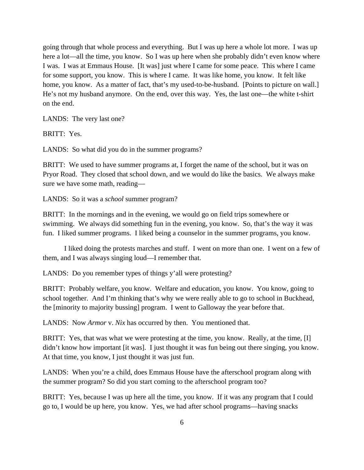going through that whole process and everything. But I was up here a whole lot more. I was up here a lot—all the time, you know. So I was up here when she probably didn't even know where I was. I was at Emmaus House. [It was] just where I came for some peace. This where I came for some support, you know. This is where I came. It was like home, you know. It felt like home, you know. As a matter of fact, that's my used-to-be-husband. [Points to picture on wall.] He's not my husband anymore. On the end, over this way. Yes, the last one—the white t-shirt on the end.

LANDS: The very last one?

BRITT: Yes.

LANDS: So what did you do in the summer programs?

BRITT: We used to have summer programs at, I forget the name of the school, but it was on Pryor Road. They closed that school down, and we would do like the basics. We always make sure we have some math, reading—

LANDS: So it was a *school* summer program?

BRITT: In the mornings and in the evening, we would go on field trips somewhere or swimming. We always did something fun in the evening, you know. So, that's the way it was fun. I liked summer programs. I liked being a counselor in the summer programs, you know.

 I liked doing the protests marches and stuff. I went on more than one. I went on a few of them, and I was always singing loud—I remember that.

LANDS: Do you remember types of things y'all were protesting?

BRITT: Probably welfare, you know. Welfare and education, you know. You know, going to school together. And I'm thinking that's why we were really able to go to school in Buckhead, the [minority to majority bussing] program. I went to Galloway the year before that.

LANDS: Now *Armor* v. *Nix* has occurred by then. You mentioned that.

BRITT: Yes, that was what we were protesting at the time, you know. Really, at the time, [I] didn't know how important [it was]. I just thought it was fun being out there singing, you know. At that time, you know, I just thought it was just fun.

LANDS: When you're a child, does Emmaus House have the afterschool program along with the summer program? So did you start coming to the afterschool program too?

BRITT: Yes, because I was up here all the time, you know. If it was any program that I could go to, I would be up here, you know. Yes, we had after school programs—having snacks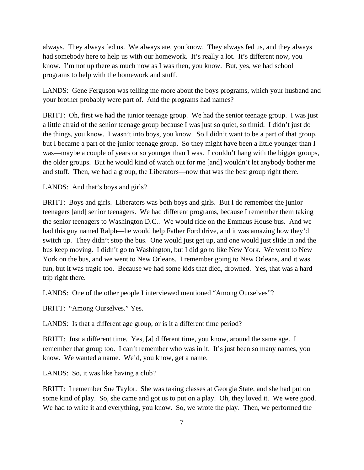always. They always fed us. We always ate, you know. They always fed us, and they always had somebody here to help us with our homework. It's really a lot. It's different now, you know. I'm not up there as much now as I was then, you know. But, yes, we had school programs to help with the homework and stuff.

LANDS: Gene Ferguson was telling me more about the boys programs, which your husband and your brother probably were part of. And the programs had names?

BRITT: Oh, first we had the junior teenage group. We had the senior teenage group. I was just a little afraid of the senior teenage group because I was just so quiet, so timid. I didn't just do the things, you know. I wasn't into boys, you know. So I didn't want to be a part of that group, but I became a part of the junior teenage group. So they might have been a little younger than I was—maybe a couple of years or so younger than I was. I couldn't hang with the bigger groups, the older groups. But he would kind of watch out for me [and] wouldn't let anybody bother me and stuff. Then, we had a group, the Liberators—now that was the best group right there.

## LANDS: And that's boys and girls?

BRITT: Boys and girls. Liberators was both boys and girls. But I do remember the junior teenagers [and] senior teenagers. We had different programs, because I remember them taking the senior teenagers to Washington D.C.. We would ride on the Emmaus House bus. And we had this guy named Ralph—he would help Father Ford drive, and it was amazing how they'd switch up. They didn't stop the bus. One would just get up, and one would just slide in and the bus keep moving. I didn't go to Washington, but I did go to like New York. We went to New York on the bus, and we went to New Orleans. I remember going to New Orleans, and it was fun, but it was tragic too. Because we had some kids that died, drowned. Yes, that was a hard trip right there.

LANDS: One of the other people I interviewed mentioned "Among Ourselves"?

BRITT: "Among Ourselves." Yes.

LANDS: Is that a different age group, or is it a different time period?

BRITT: Just a different time. Yes, [a] different time, you know, around the same age. I remember that group too. I can't remember who was in it. It's just been so many names, you know. We wanted a name. We'd, you know, get a name.

LANDS: So, it was like having a club?

BRITT: I remember Sue Taylor. She was taking classes at Georgia State, and she had put on some kind of play. So, she came and got us to put on a play. Oh, they loved it. We were good. We had to write it and everything, you know. So, we wrote the play. Then, we performed the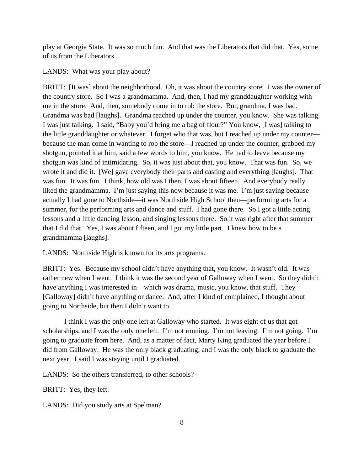play at Georgia State. It was so much fun. And that was the Liberators that did that. Yes, some of us from the Liberators.

# LANDS: What was your play about?

BRITT: It was about the neighborhood. Oh, it was about the country store. I was the owner of the country store. So I was a grandmamma. And, then, I had my granddaughter working with me in the store. And, then, somebody come in to rob the store. But, grandma, I was bad. Grandma was bad [laughs]. Grandma reached up under the counter, you know. She was talking. I was just talking. I said, "Baby you'd bring me a bag of flour?" You know, [I was] talking to the little granddaughter or whatever. I forget who that was, but I reached up under my counter because the man come in wanting to rob the store—I reached up under the counter, grabbed my shotgun, pointed it at him, said a few words to him, you know. He had to leave because my shotgun was kind of intimidating. So, it was just about that, you know. That was fun. So, we wrote it and did it. [We] gave everybody their parts and casting and everything [laughs]. That was fun. It was fun. I think, how old was I then, I was about fifteen. And everybody really liked the grandmamma. I'm just saying this now because it was me. I'm just saying because actually I had gone to Northside—it was Northside High School then—performing arts for a summer, for the performing arts and dance and stuff. I had gone there. So I got a little acting lessons and a little dancing lesson, and singing lessons there. So it was right after that summer that I did that. Yes, I was about fifteen, and I got my little part. I knew how to be a grandmamma [laughs].

LANDS: Northside High is known for its arts programs.

BRITT: Yes. Because my school didn't have anything that, you know. It wasn't old. It was rather new when I went. I think it was the second year of Galloway when I went. So they didn't have anything I was interested in—which was drama, music, you know, that stuff. They [Galloway] didn't have anything or dance. And, after I kind of complained, I thought about going to Northside, but then I didn't want to.

 I think I was the only one left at Galloway who started. It was eight of us that got scholarships, and I was the only one left. I'm not running. I'm not leaving. I'm not going. I'm going to graduate from here. And, as a matter of fact, Marty King graduated the year before I did from Galloway. He was the only black graduating, and I was the only black to graduate the next year. I said I was staying until I graduated.

LANDS: So the others transferred, to other schools?

BRITT: Yes, they left.

LANDS: Did you study arts at Spelman?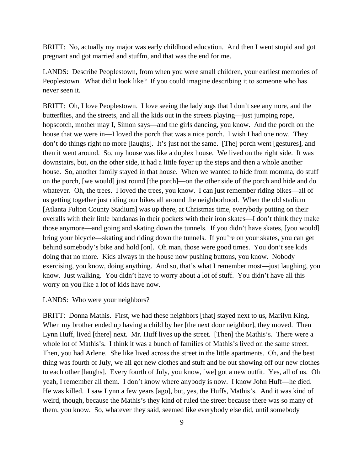BRITT: No, actually my major was early childhood education. And then I went stupid and got pregnant and got married and stuffm, and that was the end for me.

LANDS: Describe Peoplestown, from when you were small children, your earliest memories of Peoplestown. What did it look like? If you could imagine describing it to someone who has never seen it.

BRITT: Oh, I love Peoplestown. I love seeing the ladybugs that I don't see anymore, and the butterflies, and the streets, and all the kids out in the streets playing—just jumping rope, hopscotch, mother may I, Simon says—and the girls dancing, you know. And the porch on the house that we were in—I loved the porch that was a nice porch. I wish I had one now. They don't do things right no more [laughs]. It's just not the same. [The] porch went [gestures], and then it went around. So, my house was like a duplex house. We lived on the right side. It was downstairs, but, on the other side, it had a little foyer up the steps and then a whole another house. So, another family stayed in that house. When we wanted to hide from momma, do stuff on the porch, [we would] just round [the porch]—on the other side of the porch and hide and do whatever. Oh, the trees. I loved the trees, you know. I can just remember riding bikes—all of us getting together just riding our bikes all around the neighborhood. When the old stadium [Atlanta Fulton County Stadium] was up there, at Christmas time, everybody putting on their overalls with their little bandanas in their pockets with their iron skates—I don't think they make those anymore—and going and skating down the tunnels. If you didn't have skates, [you would] bring your bicycle—skating and riding down the tunnels. If you're on your skates, you can get behind somebody's bike and hold [on]. Oh man, those were good times. You don't see kids doing that no more. Kids always in the house now pushing buttons, you know. Nobody exercising, you know, doing anything. And so, that's what I remember most—just laughing, you know. Just walking. You didn't have to worry about a lot of stuff. You didn't have all this worry on you like a lot of kids have now.

## LANDS: Who were your neighbors?

BRITT: Donna Mathis. First, we had these neighbors [that] stayed next to us, Marilyn King. When my brother ended up having a child by her [the next door neighbor], they moved. Then Lynn Huff, lived [there] next. Mr. Huff lives up the street. [Then] the Mathis's. There were a whole lot of Mathis's. I think it was a bunch of families of Mathis's lived on the same street. Then, you had Arlene. She like lived across the street in the little apartments. Oh, and the best thing was fourth of July, we all got new clothes and stuff and be out showing off our new clothes to each other [laughs]. Every fourth of July, you know, [we] got a new outfit. Yes, all of us. Oh yeah, I remember all them. I don't know where anybody is now. I know John Huff—he died. He was killed. I saw Lynn a few years [ago], but, yes, the Huffs, Mathis's. And it was kind of weird, though, because the Mathis's they kind of ruled the street because there was so many of them, you know. So, whatever they said, seemed like everybody else did, until somebody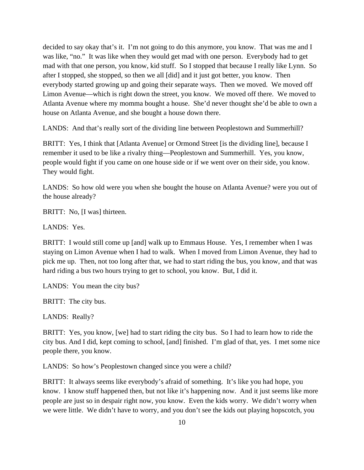decided to say okay that's it. I'm not going to do this anymore, you know. That was me and I was like, "no." It was like when they would get mad with one person. Everybody had to get mad with that one person, you know, kid stuff. So I stopped that because I really like Lynn. So after I stopped, she stopped, so then we all [did] and it just got better, you know. Then everybody started growing up and going their separate ways. Then we moved. We moved off Limon Avenue—which is right down the street, you know. We moved off there. We moved to Atlanta Avenue where my momma bought a house. She'd never thought she'd be able to own a house on Atlanta Avenue, and she bought a house down there.

LANDS: And that's really sort of the dividing line between Peoplestown and Summerhill?

BRITT: Yes, I think that [Atlanta Avenue] or Ormond Street [is the dividing line], because I remember it used to be like a rivalry thing—Peoplestown and Summerhill. Yes, you know, people would fight if you came on one house side or if we went over on their side, you know. They would fight.

LANDS: So how old were you when she bought the house on Atlanta Avenue? were you out of the house already?

BRITT: No, [I was] thirteen.

LANDS: Yes.

BRITT: I would still come up [and] walk up to Emmaus House. Yes, I remember when I was staying on Limon Avenue when I had to walk. When I moved from Limon Avenue, they had to pick me up. Then, not too long after that, we had to start riding the bus, you know, and that was hard riding a bus two hours trying to get to school, you know. But, I did it.

LANDS: You mean the city bus?

BRITT: The city bus.

LANDS: Really?

BRITT: Yes, you know, [we] had to start riding the city bus. So I had to learn how to ride the city bus. And I did, kept coming to school, [and] finished. I'm glad of that, yes. I met some nice people there, you know.

LANDS: So how's Peoplestown changed since you were a child?

BRITT: It always seems like everybody's afraid of something. It's like you had hope, you know. I know stuff happened then, but not like it's happening now. And it just seems like more people are just so in despair right now, you know. Even the kids worry. We didn't worry when we were little. We didn't have to worry, and you don't see the kids out playing hopscotch, you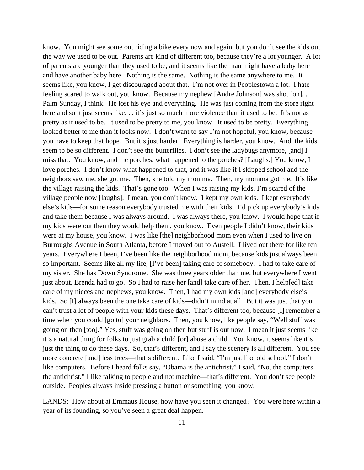know. You might see some out riding a bike every now and again, but you don't see the kids out the way we used to be out. Parents are kind of different too, because they're a lot younger. A lot of parents are younger than they used to be, and it seems like the man might have a baby here and have another baby here. Nothing is the same. Nothing is the same anywhere to me. It seems like, you know, I get discouraged about that. I'm not over in Peoplestown a lot. I hate feeling scared to walk out, you know. Because my nephew [Andre Johnson] was shot [on]. . . Palm Sunday, I think. He lost his eye and everything. He was just coming from the store right here and so it just seems like. . . it's just so much more violence than it used to be. It's not as pretty as it used to be. It used to be pretty to me, you know. It used to be pretty. Everything looked better to me than it looks now. I don't want to say I'm not hopeful, you know, because you have to keep that hope. But it's just harder. Everything is harder, you know. And, the kids seem to be so different. I don't see the butterflies. I don't see the ladybugs anymore, [and] I miss that. You know, and the porches, what happened to the porches? [Laughs.] You know, I love porches. I don't know what happened to that, and it was like if I skipped school and the neighbors saw me, she got me. Then, she told my momma. Then, my momma got me. It's like the village raising the kids. That's gone too. When I was raising my kids, I'm scared of the village people now [laughs]. I mean, you don't know. I kept my own kids. I kept everybody else's kids—for some reason everybody trusted me with their kids. I'd pick up everybody's kids and take them because I was always around. I was always there, you know. I would hope that if my kids were out then they would help them, you know. Even people I didn't know, their kids were at my house, you know. I was like [the] neighborhood mom even when I used to live on Burroughs Avenue in South Atlanta, before I moved out to Austell. I lived out there for like ten years. Everywhere I been, I've been like the neighborhood mom, because kids just always been so important. Seems like all my life, [I've been] taking care of somebody. I had to take care of my sister. She has Down Syndrome. She was three years older than me, but everywhere I went just about, Brenda had to go. So I had to raise her [and] take care of her. Then, I help[ed] take care of my nieces and nephews, you know. Then, I had my own kids [and] everybody else's kids. So [I] always been the one take care of kids—didn't mind at all. But it was just that you can't trust a lot of people with your kids these days. That's different too, because [I] remember a time when you could [go to] your neighbors. Then, you know, like people say, "Well stuff was going on then [too]." Yes, stuff was going on then but stuff is out now. I mean it just seems like it's a natural thing for folks to just grab a child [or] abuse a child. You know, it seems like it's just the thing to do these days. So, that's different, and I say the scenery is all different. You see more concrete [and] less trees—that's different. Like I said, "I'm just like old school." I don't like computers. Before I heard folks say, "Obama is the antichrist." I said, "No, the computers the antichrist." I like talking to people and not machine—that's different. You don't see people outside. Peoples always inside pressing a button or something, you know.

LANDS: How about at Emmaus House, how have you seen it changed? You were here within a year of its founding, so you've seen a great deal happen.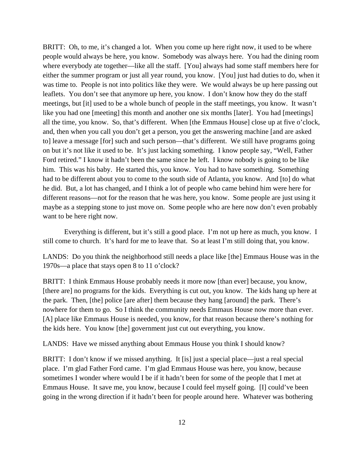BRITT: Oh, to me, it's changed a lot. When you come up here right now, it used to be where people would always be here, you know. Somebody was always here. You had the dining room where everybody ate together—like all the staff. [You] always had some staff members here for either the summer program or just all year round, you know. [You] just had duties to do, when it was time to. People is not into politics like they were. We would always be up here passing out leaflets. You don't see that anymore up here, you know. I don't know how they do the staff meetings, but [it] used to be a whole bunch of people in the staff meetings, you know. It wasn't like you had one [meeting] this month and another one six months [later]. You had [meetings] all the time, you know. So, that's different. When [the Emmaus House] close up at five o'clock, and, then when you call you don't get a person, you get the answering machine [and are asked to] leave a message [for] such and such person—that's different. We still have programs going on but it's not like it used to be. It's just lacking something. I know people say, "Well, Father Ford retired." I know it hadn't been the same since he left. I know nobody is going to be like him. This was his baby. He started this, you know. You had to have something. Something had to be different about you to come to the south side of Atlanta, you know. And [to] do what he did. But, a lot has changed, and I think a lot of people who came behind him were here for different reasons—not for the reason that he was here, you know. Some people are just using it maybe as a stepping stone to just move on. Some people who are here now don't even probably want to be here right now.

 Everything is different, but it's still a good place. I'm not up here as much, you know. I still come to church. It's hard for me to leave that. So at least I'm still doing that, you know.

LANDS: Do you think the neighborhood still needs a place like [the] Emmaus House was in the 1970s—a place that stays open 8 to 11 o'clock?

BRITT: I think Emmaus House probably needs it more now [than ever] because, you know, [there are] no programs for the kids. Everything is cut out, you know. The kids hang up here at the park. Then, [the] police [are after] them because they hang [around] the park. There's nowhere for them to go. So I think the community needs Emmaus House now more than ever. [A] place like Emmaus House is needed, you know, for that reason because there's nothing for the kids here. You know [the] government just cut out everything, you know.

LANDS: Have we missed anything about Emmaus House you think I should know?

BRITT: I don't know if we missed anything. It [is] just a special place—just a real special place. I'm glad Father Ford came. I'm glad Emmaus House was here, you know, because sometimes I wonder where would I be if it hadn't been for some of the people that I met at Emmaus House. It save me, you know, because I could feel myself going. [I] could've been going in the wrong direction if it hadn't been for people around here. Whatever was bothering